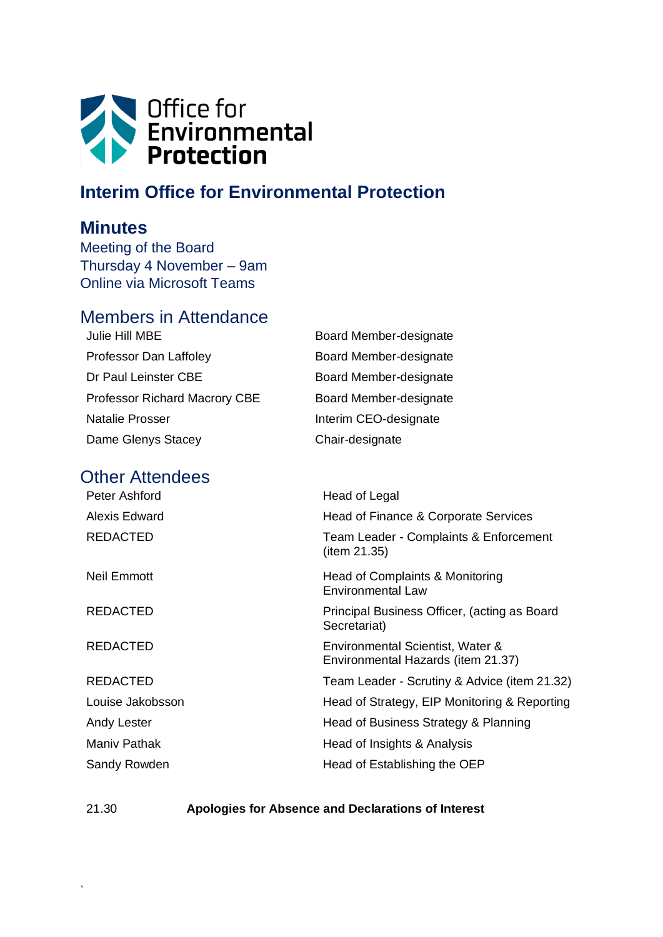

# **Interim Office for Environmental Protection**

## **Minutes**

Meeting of the Board Thursday 4 November – 9am Online via Microsoft Teams

# Members in Attendance

| Julie Hill MBE                       | Board Member-designate |
|--------------------------------------|------------------------|
| Professor Dan Laffoley               | Board Member-designate |
| Dr Paul Leinster CBE                 | Board Member-designate |
| <b>Professor Richard Macrory CBE</b> | Board Member-designate |
| <b>Natalie Prosser</b>               | Interim CEO-designate  |
| Dame Glenys Stacey                   | Chair-designate        |

## Other Attendees

| Peter Ashford    | Head of Legal                                                          |
|------------------|------------------------------------------------------------------------|
| Alexis Edward    | Head of Finance & Corporate Services                                   |
| <b>REDACTED</b>  | Team Leader - Complaints & Enforcement<br>(item 21.35)                 |
| Neil Emmott      | Head of Complaints & Monitoring<br>Environmental Law                   |
| <b>REDACTED</b>  | Principal Business Officer, (acting as Board<br>Secretariat)           |
| <b>REDACTED</b>  | Environmental Scientist, Water &<br>Environmental Hazards (item 21.37) |
| <b>REDACTED</b>  | Team Leader - Scrutiny & Advice (item 21.32)                           |
| Louise Jakobsson | Head of Strategy, EIP Monitoring & Reporting                           |
| Andy Lester      | Head of Business Strategy & Planning                                   |
| Maniv Pathak     | Head of Insights & Analysis                                            |
| Sandy Rowden     | Head of Establishing the OEP                                           |

`

21.30 **Apologies for Absence and Declarations of Interest**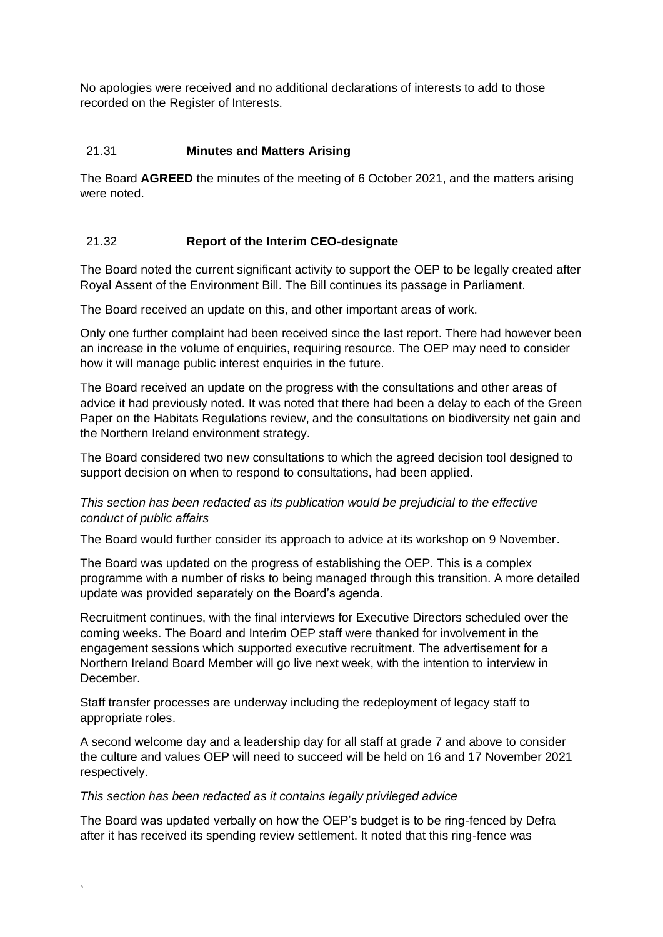No apologies were received and no additional declarations of interests to add to those recorded on the Register of Interests.

## 21.31 **Minutes and Matters Arising**

The Board **AGREED** the minutes of the meeting of 6 October 2021, and the matters arising were noted.

## 21.32 **Report of the Interim CEO-designate**

The Board noted the current significant activity to support the OEP to be legally created after Royal Assent of the Environment Bill. The Bill continues its passage in Parliament.

The Board received an update on this, and other important areas of work.

Only one further complaint had been received since the last report. There had however been an increase in the volume of enquiries, requiring resource. The OEP may need to consider how it will manage public interest enquiries in the future.

The Board received an update on the progress with the consultations and other areas of advice it had previously noted. It was noted that there had been a delay to each of the Green Paper on the Habitats Regulations review, and the consultations on biodiversity net gain and the Northern Ireland environment strategy.

The Board considered two new consultations to which the agreed decision tool designed to support decision on when to respond to consultations, had been applied.

## *This section has been redacted as its publication would be prejudicial to the effective conduct of public affairs*

The Board would further consider its approach to advice at its workshop on 9 November.

The Board was updated on the progress of establishing the OEP. This is a complex programme with a number of risks to being managed through this transition. A more detailed update was provided separately on the Board's agenda.

Recruitment continues, with the final interviews for Executive Directors scheduled over the coming weeks. The Board and Interim OEP staff were thanked for involvement in the engagement sessions which supported executive recruitment. The advertisement for a Northern Ireland Board Member will go live next week, with the intention to interview in December.

Staff transfer processes are underway including the redeployment of legacy staff to appropriate roles.

A second welcome day and a leadership day for all staff at grade 7 and above to consider the culture and values OEP will need to succeed will be held on 16 and 17 November 2021 respectively.

#### *This section has been redacted as it contains legally privileged advice*

The Board was updated verbally on how the OEP's budget is to be ring-fenced by Defra after it has received its spending review settlement. It noted that this ring-fence was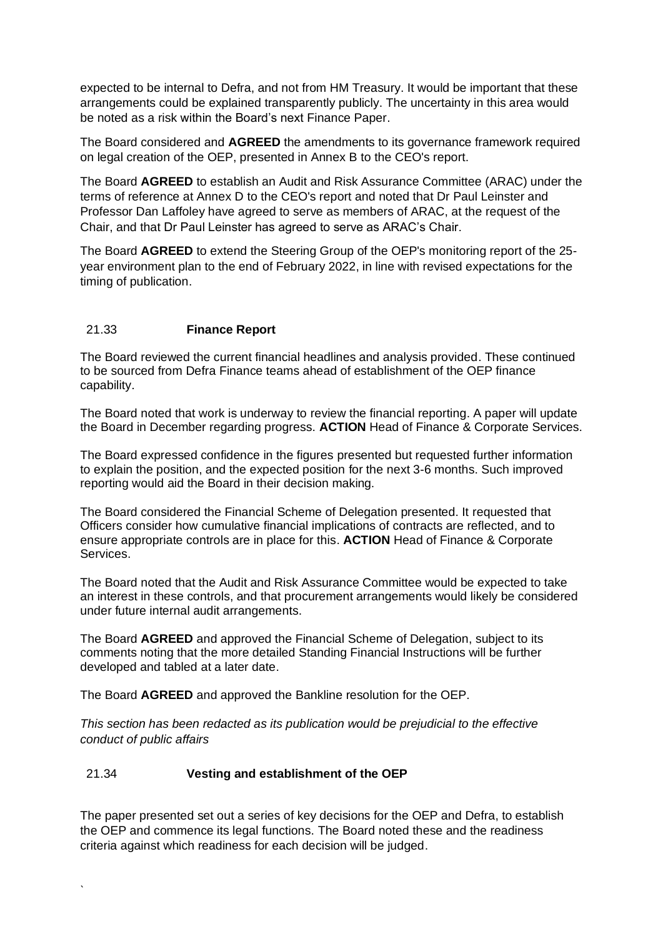expected to be internal to Defra, and not from HM Treasury. It would be important that these arrangements could be explained transparently publicly. The uncertainty in this area would be noted as a risk within the Board's next Finance Paper.

The Board considered and **AGREED** the amendments to its governance framework required on legal creation of the OEP, presented in Annex B to the CEO's report.

The Board **AGREED** to establish an Audit and Risk Assurance Committee (ARAC) under the terms of reference at Annex D to the CEO's report and noted that Dr Paul Leinster and Professor Dan Laffoley have agreed to serve as members of ARAC, at the request of the Chair, and that Dr Paul Leinster has agreed to serve as ARAC's Chair.

The Board **AGREED** to extend the Steering Group of the OEP's monitoring report of the 25 year environment plan to the end of February 2022, in line with revised expectations for the timing of publication.

## 21.33 **Finance Report**

The Board reviewed the current financial headlines and analysis provided. These continued to be sourced from Defra Finance teams ahead of establishment of the OEP finance capability.

The Board noted that work is underway to review the financial reporting. A paper will update the Board in December regarding progress. **ACTION** Head of Finance & Corporate Services.

The Board expressed confidence in the figures presented but requested further information to explain the position, and the expected position for the next 3-6 months. Such improved reporting would aid the Board in their decision making.

The Board considered the Financial Scheme of Delegation presented. It requested that Officers consider how cumulative financial implications of contracts are reflected, and to ensure appropriate controls are in place for this. **ACTION** Head of Finance & Corporate Services.

The Board noted that the Audit and Risk Assurance Committee would be expected to take an interest in these controls, and that procurement arrangements would likely be considered under future internal audit arrangements.

The Board **AGREED** and approved the Financial Scheme of Delegation, subject to its comments noting that the more detailed Standing Financial Instructions will be further developed and tabled at a later date.

The Board **AGREED** and approved the Bankline resolution for the OEP.

*This section has been redacted as its publication would be prejudicial to the effective conduct of public affairs*

#### 21.34 **Vesting and establishment of the OEP**

The paper presented set out a series of key decisions for the OEP and Defra, to establish the OEP and commence its legal functions. The Board noted these and the readiness criteria against which readiness for each decision will be judged.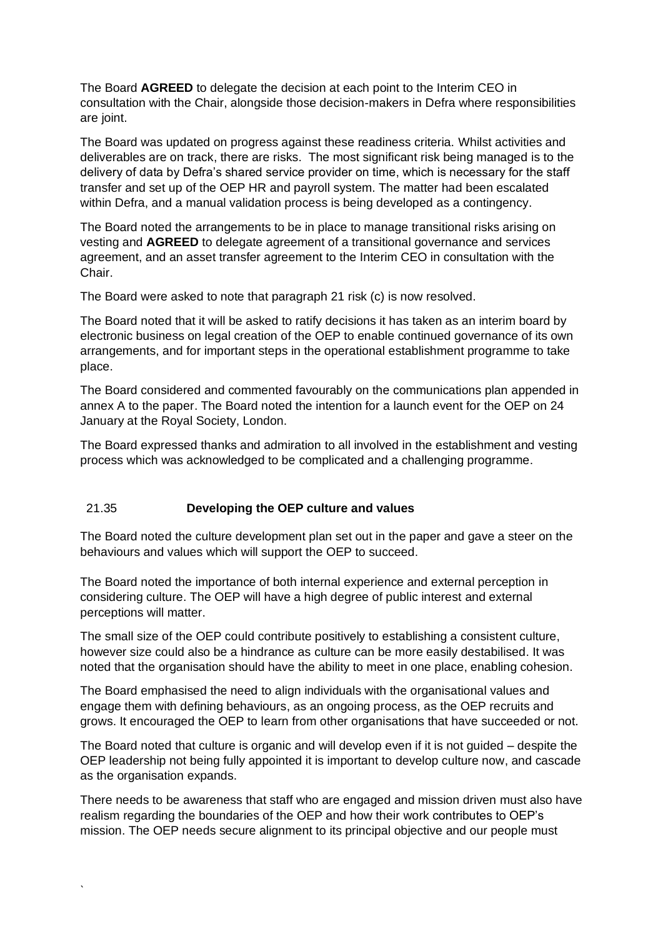The Board **AGREED** to delegate the decision at each point to the Interim CEO in consultation with the Chair, alongside those decision-makers in Defra where responsibilities are joint.

The Board was updated on progress against these readiness criteria. Whilst activities and deliverables are on track, there are risks. The most significant risk being managed is to the delivery of data by Defra's shared service provider on time, which is necessary for the staff transfer and set up of the OEP HR and payroll system. The matter had been escalated within Defra, and a manual validation process is being developed as a contingency.

The Board noted the arrangements to be in place to manage transitional risks arising on vesting and **AGREED** to delegate agreement of a transitional governance and services agreement, and an asset transfer agreement to the Interim CEO in consultation with the Chair.

The Board were asked to note that paragraph 21 risk (c) is now resolved.

The Board noted that it will be asked to ratify decisions it has taken as an interim board by electronic business on legal creation of the OEP to enable continued governance of its own arrangements, and for important steps in the operational establishment programme to take place.

The Board considered and commented favourably on the communications plan appended in annex A to the paper. The Board noted the intention for a launch event for the OEP on 24 January at the Royal Society, London.

The Board expressed thanks and admiration to all involved in the establishment and vesting process which was acknowledged to be complicated and a challenging programme.

#### 21.35 **Developing the OEP culture and values**

The Board noted the culture development plan set out in the paper and gave a steer on the behaviours and values which will support the OEP to succeed.

The Board noted the importance of both internal experience and external perception in considering culture. The OEP will have a high degree of public interest and external perceptions will matter.

The small size of the OEP could contribute positively to establishing a consistent culture, however size could also be a hindrance as culture can be more easily destabilised. It was noted that the organisation should have the ability to meet in one place, enabling cohesion.

The Board emphasised the need to align individuals with the organisational values and engage them with defining behaviours, as an ongoing process, as the OEP recruits and grows. It encouraged the OEP to learn from other organisations that have succeeded or not.

The Board noted that culture is organic and will develop even if it is not guided – despite the OEP leadership not being fully appointed it is important to develop culture now, and cascade as the organisation expands.

There needs to be awareness that staff who are engaged and mission driven must also have realism regarding the boundaries of the OEP and how their work contributes to OEP's mission. The OEP needs secure alignment to its principal objective and our people must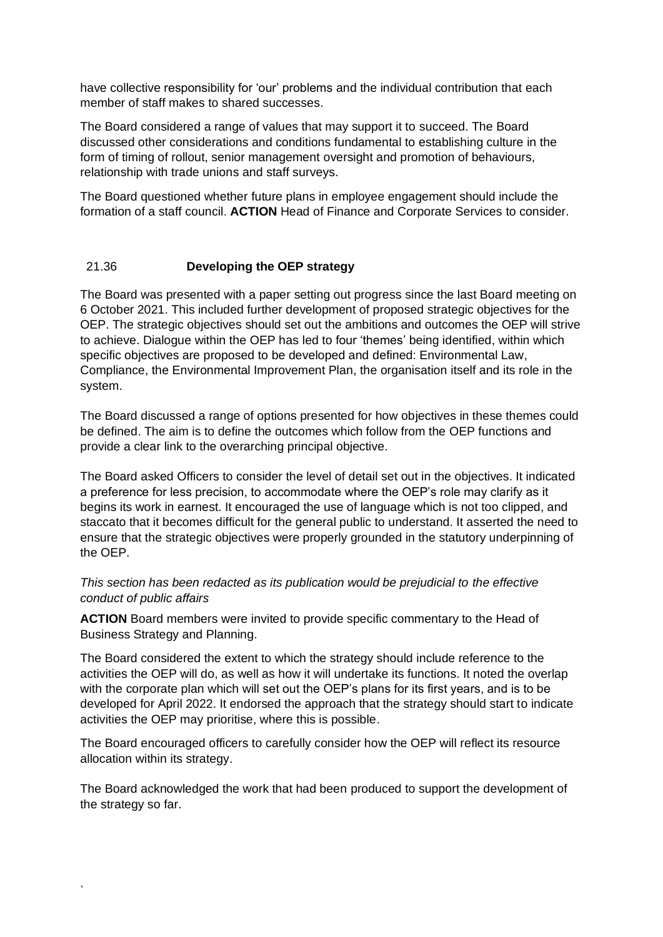have collective responsibility for 'our' problems and the individual contribution that each member of staff makes to shared successes.

The Board considered a range of values that may support it to succeed. The Board discussed other considerations and conditions fundamental to establishing culture in the form of timing of rollout, senior management oversight and promotion of behaviours, relationship with trade unions and staff surveys.

The Board questioned whether future plans in employee engagement should include the formation of a staff council. **ACTION** Head of Finance and Corporate Services to consider.

## 21.36 **Developing the OEP strategy**

The Board was presented with a paper setting out progress since the last Board meeting on 6 October 2021. This included further development of proposed strategic objectives for the OEP. The strategic objectives should set out the ambitions and outcomes the OEP will strive to achieve. Dialogue within the OEP has led to four 'themes' being identified, within which specific objectives are proposed to be developed and defined: Environmental Law, Compliance, the Environmental Improvement Plan, the organisation itself and its role in the system.

The Board discussed a range of options presented for how objectives in these themes could be defined. The aim is to define the outcomes which follow from the OEP functions and provide a clear link to the overarching principal objective.

The Board asked Officers to consider the level of detail set out in the objectives. It indicated a preference for less precision, to accommodate where the OEP's role may clarify as it begins its work in earnest. It encouraged the use of language which is not too clipped, and staccato that it becomes difficult for the general public to understand. It asserted the need to ensure that the strategic objectives were properly grounded in the statutory underpinning of the OEP.

## *This section has been redacted as its publication would be prejudicial to the effective conduct of public affairs*

**ACTION** Board members were invited to provide specific commentary to the Head of Business Strategy and Planning.

The Board considered the extent to which the strategy should include reference to the activities the OEP will do, as well as how it will undertake its functions. It noted the overlap with the corporate plan which will set out the OEP's plans for its first years, and is to be developed for April 2022. It endorsed the approach that the strategy should start to indicate activities the OEP may prioritise, where this is possible.

The Board encouraged officers to carefully consider how the OEP will reflect its resource allocation within its strategy.

The Board acknowledged the work that had been produced to support the development of the strategy so far.

`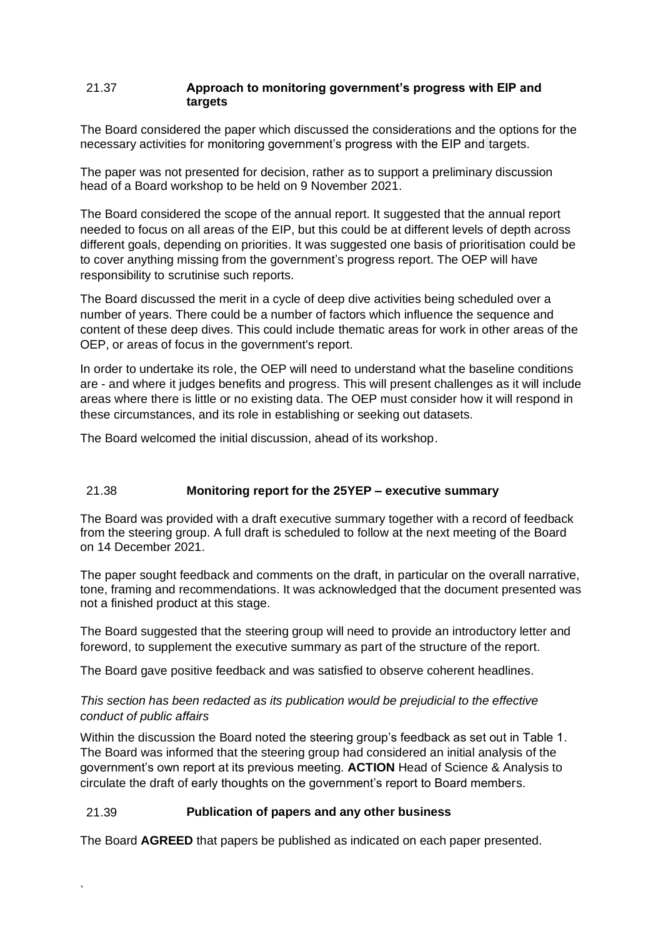#### 21.37 **Approach to monitoring government's progress with EIP and targets**

The Board considered the paper which discussed the considerations and the options for the necessary activities for monitoring government's progress with the EIP and targets.

The paper was not presented for decision, rather as to support a preliminary discussion head of a Board workshop to be held on 9 November 2021.

The Board considered the scope of the annual report. It suggested that the annual report needed to focus on all areas of the EIP, but this could be at different levels of depth across different goals, depending on priorities. It was suggested one basis of prioritisation could be to cover anything missing from the government's progress report. The OEP will have responsibility to scrutinise such reports.

The Board discussed the merit in a cycle of deep dive activities being scheduled over a number of years. There could be a number of factors which influence the sequence and content of these deep dives. This could include thematic areas for work in other areas of the OEP, or areas of focus in the government's report.

In order to undertake its role, the OEP will need to understand what the baseline conditions are - and where it judges benefits and progress. This will present challenges as it will include areas where there is little or no existing data. The OEP must consider how it will respond in these circumstances, and its role in establishing or seeking out datasets.

The Board welcomed the initial discussion, ahead of its workshop.

#### 21.38 **Monitoring report for the 25YEP – executive summary**

The Board was provided with a draft executive summary together with a record of feedback from the steering group. A full draft is scheduled to follow at the next meeting of the Board on 14 December 2021.

The paper sought feedback and comments on the draft, in particular on the overall narrative, tone, framing and recommendations. It was acknowledged that the document presented was not a finished product at this stage.

The Board suggested that the steering group will need to provide an introductory letter and foreword, to supplement the executive summary as part of the structure of the report.

The Board gave positive feedback and was satisfied to observe coherent headlines.

## *This section has been redacted as its publication would be prejudicial to the effective conduct of public affairs*

Within the discussion the Board noted the steering group's feedback as set out in Table 1. The Board was informed that the steering group had considered an initial analysis of the government's own report at its previous meeting. **ACTION** Head of Science & Analysis to circulate the draft of early thoughts on the government's report to Board members.

#### 21.39 **Publication of papers and any other business**

`

The Board **AGREED** that papers be published as indicated on each paper presented.